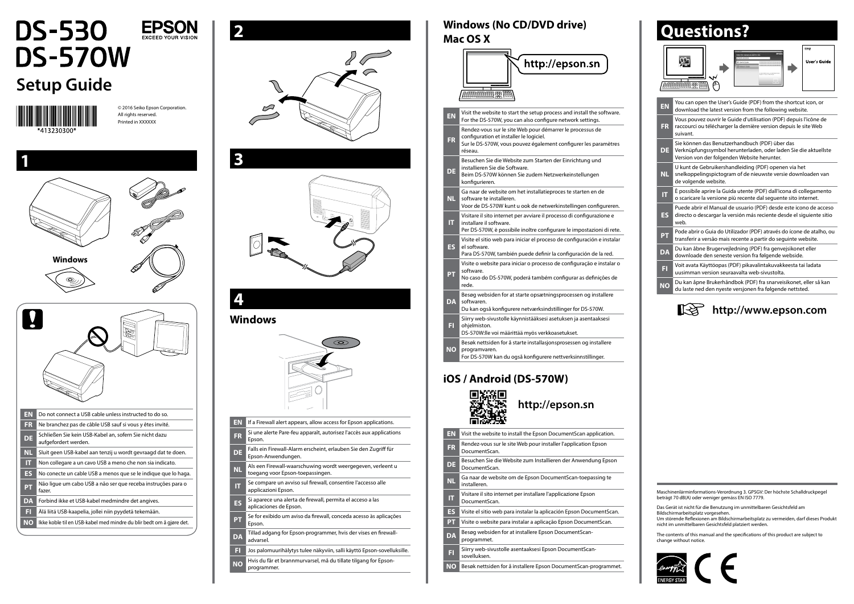

# **DS-530 DS-570W**

## **Setup Guide**



© 2016 Seiko Epson Corporation. All rights reserved. Printed in XXXXXX

**EPSON**  $EXCFFDYOLIBVISIO$ 







## **4**

#### **Windows**



- **EN** If a Firewall alert appears, allow access for Epson applications.
- **FR** Si une alerte Pare-feu apparaît, autorisez l'accès aux applications Epson. **DE** Falls ein Firewall-Alarm erscheint, erlauben Sie den Zugriff für Epson-Anwendungen.
- **NL** Als een Firewall-waarschuwing wordt weergegeven, verleent u toegang voor Epson-toepassingen.
- **IT** Se compare un avviso sul firewall, consentire l'accesso alle applicazioni Epson.
- **ES** Si aparece una alerta de firewall, permita el acceso a las aplicaciones de Epson.
- **PT** Se for exibido um aviso da firewall, conceda acesso às aplicações Epson. Epson.
- **DA** Tillad adgang for Epson-programmer, hvis der vises en firewalladvarsel.
- **FI** Jos palomuurihälytys tulee näkyviin, salli käyttö Epson-sovelluksille.
- **NO** Hvis du får et brannmurvarsel, må du tillate tilgang for Epsonprogrammer.

#### **Windows (No CD/DVD drive) Mac OS X**

|                                            | http://epson.sn                                                                                                                                                                    |  |
|--------------------------------------------|------------------------------------------------------------------------------------------------------------------------------------------------------------------------------------|--|
|                                            |                                                                                                                                                                                    |  |
|                                            | 第四                                                                                                                                                                                 |  |
| <b>EN</b>                                  | Visit the website to start the setup process and install the software.<br>For the DS-570W, you can also configure network settings.                                                |  |
| ER                                         | Rendez-vous sur le site Web pour démarrer le processus de<br>configuration et installer le logiciel.<br>Sur le DS-570W, vous pouvez également configurer les paramètres<br>réseau. |  |
| DE                                         | Besuchen Sie die Website zum Starten der Einrichtung und<br>installieren Sie die Software.<br>Beim DS-570W können Sie zudem Netzwerkeinstellungen<br>konfigurieren.                |  |
| <b>NL</b>                                  | Ga naar de website om het installatieproces te starten en de<br>software te installeren.<br>Voor de DS-570W kunt u ook de netwerkinstellingen configureren.                        |  |
|                                            | Visitare il sito internet per avviare il processo di configurazione e                                                                                                              |  |
| IT.                                        | installare il software.<br>Per DS-570W, è possibile inoltre configurare le impostazioni di rete.                                                                                   |  |
| <b>ES</b>                                  | Visite el sitio web para iniciar el proceso de configuración e instalar<br>el software.<br>Para DS-570W, también puede definir la configuración de la red.                         |  |
| Pп                                         | Visite o website para iniciar o processo de configuração e instalar o<br>software.<br>No caso do DS-570W, poderá também configurar as definições de<br>rede.                       |  |
| DA                                         | Besøg websiden for at starte opsætningsprocessen og installere<br>softwaren.<br>Du kan også konfigurere netværksindstillinger for DS-570W.                                         |  |
| EI                                         | Siirry web-sivustolle käynnistääksesi asetuksen ja asentaaksesi<br>ohjelmiston.<br>DS-570W:lle voi määrittää myös verkkoasetukset.                                                 |  |
| ΝO                                         | Besøk nettsiden for å starte installasjonsprosessen og installere<br>programvaren.<br>For DS-570W kan du også konfigurere nettverksinnstillinger.                                  |  |
| iOS / Android (DS-570W)<br>http://epson.sn |                                                                                                                                                                                    |  |
| EN                                         | Visit the website to install the Epson DocumentScan application.                                                                                                                   |  |
| <b>FR</b>                                  | Rendez-vous sur le site Web pour installer l'application Epson<br>DocumentScan.                                                                                                    |  |
| DE                                         | Besuchen Sie die Website zum Installieren der Anwendung Epson<br>DocumentScan.                                                                                                     |  |
| <b>NL</b>                                  | Ga naar de website om de Epson DocumentScan-toepassing te<br>installeren.                                                                                                          |  |
| IT                                         | Visitare il sito internet per installare l'applicazione Epson<br>DocumentScan.                                                                                                     |  |
| <b>ES</b>                                  | Visite el sitio web para instalar la aplicación Epson DocumentScan.                                                                                                                |  |
| <b>PT</b>                                  | Visite o website para instalar a aplicação Epson DocumentScan.                                                                                                                     |  |
| <b>DA</b>                                  | Besøg websiden for at installere Epson DocumentScan-<br>programmet.                                                                                                                |  |
| FI                                         | Siirry web-sivustolle asentaaksesi Epson DocumentScan-<br>sovelluksen.                                                                                                             |  |

**NO** Besøk nettsiden for å installere Epson DocumentScan-programmet.

| EN        | You can open the User's Guide (PDF) from the shortcut icon, or<br>download the latest version from the following website.                                        |
|-----------|------------------------------------------------------------------------------------------------------------------------------------------------------------------|
| <b>FR</b> | Vous pouvez ouvrir le Guide d'utilisation (PDF) depuis l'icône de<br>raccourci ou télécharger la dernière version depuis le site Web<br>suivant.                 |
| DE        | Sie können das Benutzerhandbuch (PDF) über das<br>Verknüpfungssymbol herunterladen, oder laden Sie die aktuellste<br>Version von der folgenden Website herunter. |
| NL.       | U kunt de Gebruikershandleiding (PDF) openen via het<br>snelkoppelingspictogram of de nieuwste versie downloaden van<br>de volgende website.                     |
| π         | È possibile aprire la Guida utente (PDF) dall'icona di collegamento<br>o scaricare la versione più recente dal seguente sito internet.                           |
| ES        | Puede abrir el Manual de usuario (PDF) desde este icono de acceso<br>directo o descargar la versión más reciente desde el siguiente sitio<br>web.                |
| PT        | Pode abrir o Guia do Utilizador (PDF) através do ícone de atalho, ou<br>transferir a versão mais recente a partir do seguinte website.                           |
| <b>DA</b> | Du kan åbne Brugervejledning (PDF) fra genvejsikonet eller<br>downloade den seneste version fra følgende webside.                                                |
| FI        | Voit avata Käyttöopas (PDF) pikavalintakuvakkeesta tai ladata<br>uusimman version seuraavalta web-sivustolta.                                                    |
| <b>NO</b> | Du kan åpne Brukerhåndbok (PDF) fra snarveisikonet, eller så kan<br>du laste ned den nyeste versjonen fra følgende nettsted.                                     |

### **Questions?**





The contents of this manual and the specifications of this product are subject to change without notice.



Maschinenlärminformations-Verordnung 3. GPSGV: Der höchste Schalldruckpegel beträgt 70 dB(A) oder weniger gemäss EN ISO 7779.

Das Gerät ist nicht für die Benutzung im unmittelbaren Gesichtsfeld am Bildschirmarbeitsplatz vorgesehen. Um störende Reflexionen am Bildschirmarbeitsplatz zu vermeiden, darf dieses Produkt nicht im unmittelbaren Gesichtsfeld platziert werden.